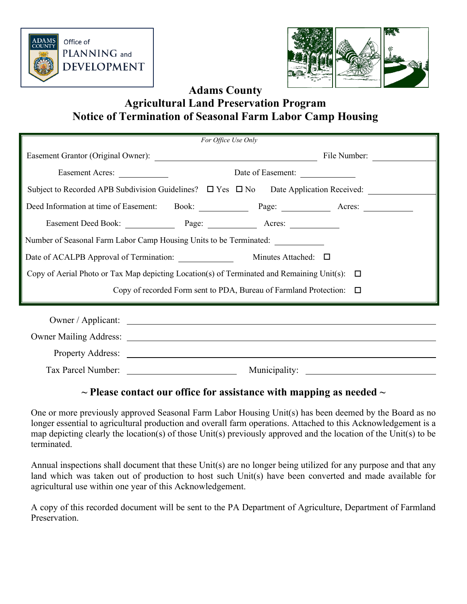



## **Adams County Agricultural Land Preservation Program Notice of Termination of Seasonal Farm Labor Camp Housing**

| For Office Use Only                                                                                                                                                                                                                  |               |                   |  |  |  |  |
|--------------------------------------------------------------------------------------------------------------------------------------------------------------------------------------------------------------------------------------|---------------|-------------------|--|--|--|--|
|                                                                                                                                                                                                                                      |               |                   |  |  |  |  |
| Easement Acres:                                                                                                                                                                                                                      |               | Date of Easement: |  |  |  |  |
| Subject to Recorded APB Subdivision Guidelines? $\Box$ Yes $\Box$ No Date Application Received:                                                                                                                                      |               |                   |  |  |  |  |
| Deed Information at time of Easement: Book: Page: Page: Acres: North Acres:                                                                                                                                                          |               |                   |  |  |  |  |
| Easement Deed Book: Page: Page: Acres:                                                                                                                                                                                               |               |                   |  |  |  |  |
| Number of Seasonal Farm Labor Camp Housing Units to be Terminated:                                                                                                                                                                   |               |                   |  |  |  |  |
| Date of ACALPB Approval of Termination: Minutes Attached: □                                                                                                                                                                          |               |                   |  |  |  |  |
| Copy of Aerial Photo or Tax Map depicting Location(s) of Terminated and Remaining Unit(s): $\Box$                                                                                                                                    |               |                   |  |  |  |  |
| Copy of recorded Form sent to PDA, Bureau of Farmland Protection: $\Box$                                                                                                                                                             |               |                   |  |  |  |  |
| Owner / Applicant: <u>contract and a series of the series of the series of the series of the series of the series of the series of the series of the series of the series of the series of the series of the series of the serie</u> |               |                   |  |  |  |  |
|                                                                                                                                                                                                                                      |               |                   |  |  |  |  |
|                                                                                                                                                                                                                                      |               |                   |  |  |  |  |
|                                                                                                                                                                                                                                      |               |                   |  |  |  |  |
| Tax Parcel Number:                                                                                                                                                                                                                   | Municipality: |                   |  |  |  |  |

## **~ Please contact our office for assistance with mapping as needed ~**

One or more previously approved Seasonal Farm Labor Housing Unit(s) has been deemed by the Board as no longer essential to agricultural production and overall farm operations. Attached to this Acknowledgement is a map depicting clearly the location(s) of those Unit(s) previously approved and the location of the Unit(s) to be terminated.

Annual inspections shall document that these Unit(s) are no longer being utilized for any purpose and that any land which was taken out of production to host such Unit(s) have been converted and made available for agricultural use within one year of this Acknowledgement.

A copy of this recorded document will be sent to the PA Department of Agriculture, Department of Farmland Preservation.